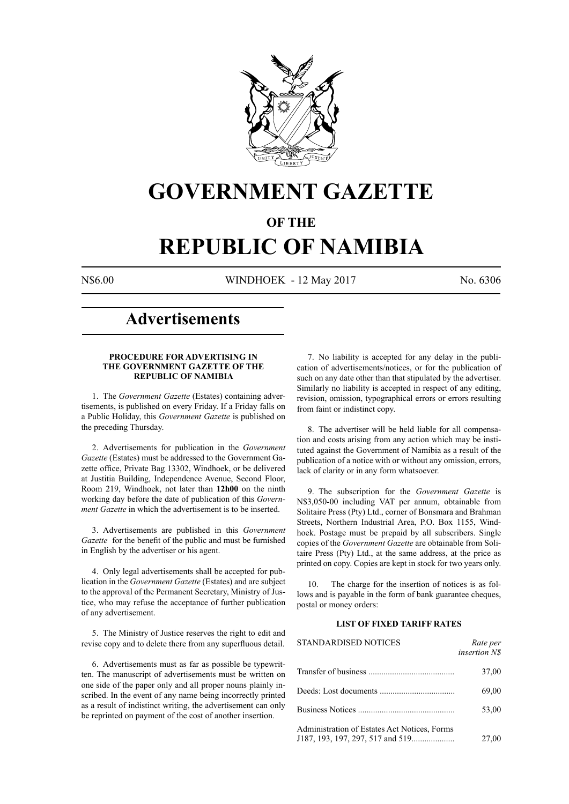

# **GOVERNMENT GAZETTE**

# **OF THE**

# **REPUBLIC OF NAMIBIA**

N\$6.00 WINDHOEK - 12 May 2017 No. 6306

# **Advertisements**

#### **PROCEDURE FOR ADVERTISING IN THE GOVERNMENT GAZETTE OF THE REPUBLIC OF NAMIBIA**

1. The *Government Gazette* (Estates) containing advertisements, is published on every Friday. If a Friday falls on a Public Holiday, this *Government Gazette* is published on the preceding Thursday.

2. Advertisements for publication in the *Government Gazette* (Estates) must be addressed to the Government Gazette office, Private Bag 13302, Windhoek, or be delivered at Justitia Building, Independence Avenue, Second Floor, Room 219, Windhoek, not later than **12h00** on the ninth working day before the date of publication of this *Government Gazette* in which the advertisement is to be inserted.

3. Advertisements are published in this *Government Gazette* for the benefit of the public and must be furnished in English by the advertiser or his agent.

4. Only legal advertisements shall be accepted for publication in the *Government Gazette* (Estates) and are subject to the approval of the Permanent Secretary, Ministry of Justice, who may refuse the acceptance of further publication of any advertisement.

5. The Ministry of Justice reserves the right to edit and revise copy and to delete there from any superfluous detail.

6. Advertisements must as far as possible be typewritten. The manuscript of advertisements must be written on one side of the paper only and all proper nouns plainly inscribed. In the event of any name being incorrectly printed as a result of indistinct writing, the advertisement can only be reprinted on payment of the cost of another insertion.

7. No liability is accepted for any delay in the publication of advertisements/notices, or for the publication of such on any date other than that stipulated by the advertiser. Similarly no liability is accepted in respect of any editing, revision, omission, typographical errors or errors resulting from faint or indistinct copy.

8. The advertiser will be held liable for all compensation and costs arising from any action which may be instituted against the Government of Namibia as a result of the publication of a notice with or without any omission, errors, lack of clarity or in any form whatsoever.

9. The subscription for the *Government Gazette* is N\$3,050-00 including VAT per annum, obtainable from Solitaire Press (Pty) Ltd., corner of Bonsmara and Brahman Streets, Northern Industrial Area, P.O. Box 1155, Windhoek. Postage must be prepaid by all subscribers. Single copies of the *Government Gazette* are obtainable from Solitaire Press (Pty) Ltd., at the same address, at the price as printed on copy. Copies are kept in stock for two years only.

10. The charge for the insertion of notices is as follows and is payable in the form of bank guarantee cheques, postal or money orders:

# **LIST OF FIXED TARIFF RATES**

| <b>STANDARDISED NOTICES</b>                  | Rate per<br><i>insertion NS</i> |
|----------------------------------------------|---------------------------------|
|                                              | 37,00                           |
|                                              | 69,00                           |
|                                              | 53,00                           |
| Administration of Estates Act Notices, Forms | 27,00                           |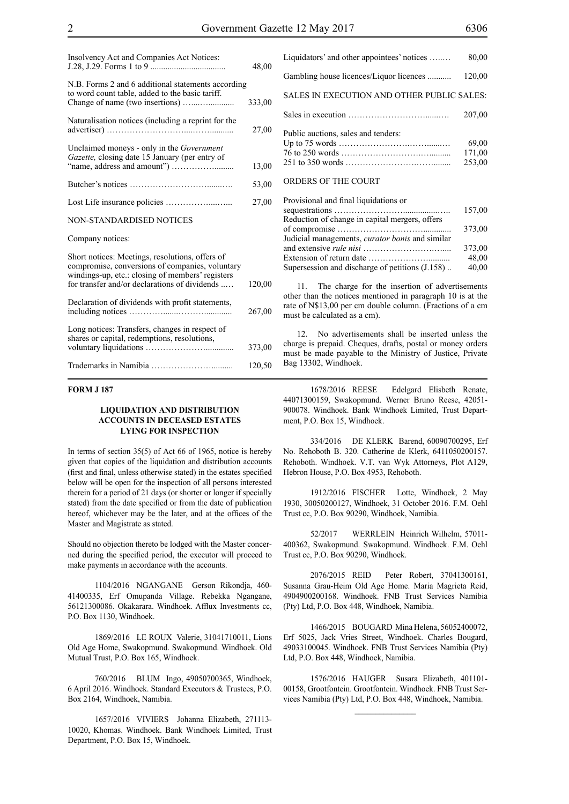| Insolvency Act and Companies Act Notices:                                                                                                                                                               | 48,00  |
|---------------------------------------------------------------------------------------------------------------------------------------------------------------------------------------------------------|--------|
| N.B. Forms 2 and 6 additional statements according<br>to word count table, added to the basic tariff.                                                                                                   |        |
|                                                                                                                                                                                                         | 333,00 |
| Naturalisation notices (including a reprint for the                                                                                                                                                     | 27,00  |
| Unclaimed moneys - only in the Government<br>Gazette, closing date 15 January (per entry of                                                                                                             |        |
|                                                                                                                                                                                                         | 13,00  |
|                                                                                                                                                                                                         | 53,00  |
|                                                                                                                                                                                                         | 27,00  |
| NON-STANDARDISED NOTICES                                                                                                                                                                                |        |
| Company notices:                                                                                                                                                                                        |        |
| Short notices: Meetings, resolutions, offers of<br>compromise, conversions of companies, voluntary<br>windings-up, etc.: closing of members' registers<br>for transfer and/or declarations of dividends | 120,00 |
|                                                                                                                                                                                                         |        |
| Declaration of dividends with profit statements,                                                                                                                                                        | 267,00 |
| Long notices: Transfers, changes in respect of<br>shares or capital, redemptions, resolutions,                                                                                                          |        |
|                                                                                                                                                                                                         | 373,00 |
|                                                                                                                                                                                                         | 120,50 |

### **FORM J 187**

#### **LIQUIDATION AND DISTRIBUTION ACCOUNTS IN DECEASED ESTATES LYING FOR INSPECTION**

In terms of section 35(5) of Act 66 of 1965, notice is hereby given that copies of the liquidation and distribution accounts (first and final, unless otherwise stated) in the estates specified below will be open for the inspection of all persons interested therein for a period of 21 days (or shorter or longer if specially stated) from the date specified or from the date of publication hereof, whichever may be the later, and at the offices of the Master and Magistrate as stated.

Should no objection thereto be lodged with the Master concerned during the specified period, the executor will proceed to make payments in accordance with the accounts.

1104/2016 NGANGANE Gerson Rikondja, 460- 41400335, Erf Omupanda Village. Rebekka Ngangane, 56121300086. Okakarara. Windhoek. Afflux Investments cc, P.O. Box 1130, Windhoek.

1869/2016 LE ROUX Valerie, 31041710011, Lions Old Age Home, Swakopmund. Swakopmund. Windhoek. Old Mutual Trust, P.O. Box 165, Windhoek.

760/2016 BLUM Ingo, 49050700365, Windhoek, 6 April 2016. Windhoek. Standard Executors & Trustees, P.O. Box 2164, Windhoek, Namibia.

1657/2016 VIVIERS Johanna Elizabeth, 271113- 10020, Khomas. Windhoek. Bank Windhoek Limited, Trust Department, P.O. Box 15, Windhoek.

| Liquidators' and other appointees' notices | 80,00                     |
|--------------------------------------------|---------------------------|
| Gambling house licences/Liquor licences    | 120,00                    |
| SALES IN EXECUTION AND OTHER PUBLIC SALES: |                           |
|                                            | 207,00                    |
| Public auctions, sales and tenders:        | 69,00<br>171,00<br>253,00 |
| ORDERS OF THE COURT                        |                           |

| Provisional and final liquidations or                                |        |
|----------------------------------------------------------------------|--------|
|                                                                      | 157,00 |
| Reduction of change in capital mergers, offers                       |        |
|                                                                      | 373.00 |
| Judicial managements, <i>curator bonis</i> and similar               |        |
|                                                                      | 373,00 |
| Extension of return date $\dots \dots \dots \dots \dots \dots \dots$ | 48,00  |
| Supersession and discharge of petitions (J.158)                      | 40,00  |
|                                                                      |        |

11. The charge for the insertion of advertisements other than the notices mentioned in paragraph 10 is at the rate of N\$13,00 per cm double column. (Fractions of a cm must be calculated as a cm).

12. No advertisements shall be inserted unless the charge is prepaid. Cheques, drafts, postal or money orders must be made payable to the Ministry of Justice, Private Bag 13302, Windhoek.

1678/2016 REESE Edelgard Elisbeth Renate, 44071300159, Swakopmund. Werner Bruno Reese, 42051- 900078. Windhoek. Bank Windhoek Limited, Trust Department, P.O. Box 15, Windhoek.

334/2016 DE KLERK Barend, 60090700295, Erf No. Rehoboth B. 320. Catherine de Klerk, 6411050200157. Rehoboth. Windhoek. V.T. van Wyk Attorneys, Plot A129, Hebron House, P.O. Box 4953, Rehoboth.

1912/2016 FISCHER Lotte, Windhoek, 2 May 1930, 30050200127, Windhoek, 31 October 2016. F.M. Oehl Trust cc, P.O. Box 90290, Windhoek, Namibia.

52/2017 WERRLEIN Heinrich Wilhelm, 57011- 400362, Swakopmund. Swakopmund. Windhoek. F.M. Oehl Trust cc, P.O. Box 90290, Windhoek.

2076/2015 REID Peter Robert, 37041300161, Susanna Grau-Heim Old Age Home. Maria Magrieta Reid, 4904900200168. Windhoek. FNB Trust Services Namibia (Pty) Ltd, P.O. Box 448, Windhoek, Namibia.

1466/2015 BOUGARD Mina Helena, 56052400072, Erf 5025, Jack Vries Street, Windhoek. Charles Bougard, 49033100045. Windhoek. FNB Trust Services Namibia (Pty) Ltd, P.O. Box 448, Windhoek, Namibia.

1576/2016 HAUGER Susara Elizabeth, 401101- 00158, Grootfontein. Grootfontein. Windhoek. FNB Trust Services Namibia (Pty) Ltd, P.O. Box 448, Windhoek, Namibia.

 $\frac{1}{2}$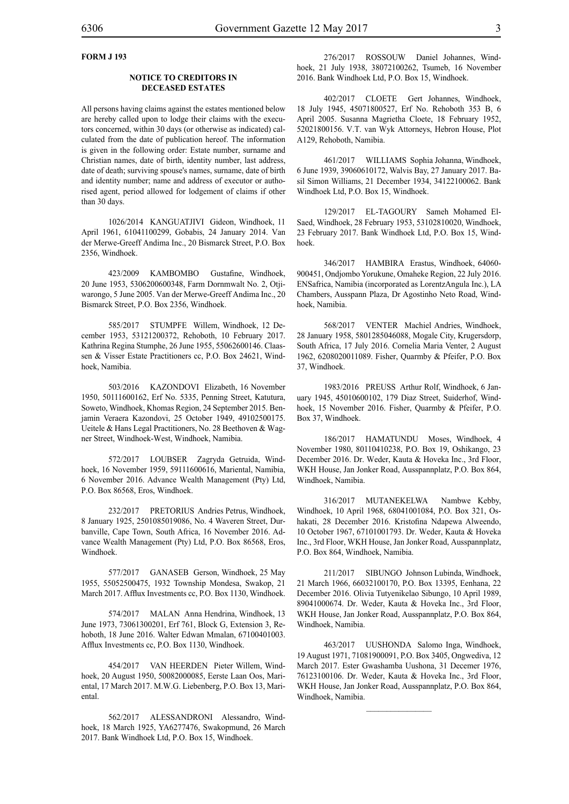# **FORM J 193**

#### **NOTICE TO CREDITORS IN DECEASED ESTATES**

All persons having claims against the estates mentioned below are hereby called upon to lodge their claims with the executors concerned, within 30 days (or otherwise as indicated) calculated from the date of publication hereof. The information is given in the following order: Estate number, surname and Christian names, date of birth, identity number, last address, date of death; surviving spouse's names, surname, date of birth and identity number; name and address of executor or authorised agent, period allowed for lodgement of claims if other than 30 days.

1026/2014 KANGUATJIVI Gideon, Windhoek, 11 April 1961, 61041100299, Gobabis, 24 January 2014. Van der Merwe-Greeff Andima Inc., 20 Bismarck Street, P.O. Box 2356, Windhoek.

423/2009 KAMBOMBO Gustafine, Windhoek, 20 June 1953, 5306200600348, Farm Dornmwalt No. 2, Otjiwarongo, 5 June 2005. Van der Merwe-Greeff Andima Inc., 20 Bismarck Street, P.O. Box 2356, Windhoek.

585/2017 STUMPFE Willem, Windhoek, 12 December 1953, 53121200372, Rehoboth, 10 February 2017. Kathrina Regina Stumphe, 26 June 1955, 55062600146. Claassen & Visser Estate Practitioners cc, P.O. Box 24621, Windhoek, Namibia.

503/2016 KAZONDOVI Elizabeth, 16 November 1950, 50111600162, Erf No. 5335, Penning Street, Katutura, Soweto, Windhoek, Khomas Region, 24 September 2015. Benjamin Veraera Kazondovi, 25 October 1949, 49102500175. Ueitele & Hans Legal Practitioners, No. 28 Beethoven & Wagner Street, Windhoek-West, Windhoek, Namibia.

572/2017 LOUBSER Zagryda Getruida, Windhoek, 16 November 1959, 59111600616, Mariental, Namibia, 6 November 2016. Advance Wealth Management (Pty) Ltd, P.O. Box 86568, Eros, Windhoek.

232/2017 PRETORIUS Andries Petrus, Windhoek, 8 January 1925, 2501085019086, No. 4 Waveren Street, Durbanville, Cape Town, South Africa, 16 November 2016. Advance Wealth Management (Pty) Ltd, P.O. Box 86568, Eros, Windhoek.

577/2017 GANASEB Gerson, Windhoek, 25 May 1955, 55052500475, 1932 Township Mondesa, Swakop, 21 March 2017. Afflux Investments cc, P.O. Box 1130, Windhoek.

574/2017 MALAN Anna Hendrina, Windhoek, 13 June 1973, 73061300201, Erf 761, Block G, Extension 3, Rehoboth, 18 June 2016. Walter Edwan Mmalan, 67100401003. Afflux Investments cc, P.O. Box 1130, Windhoek.

454/2017 VAN HEERDEN Pieter Willem, Windhoek, 20 August 1950, 50082000085, Eerste Laan Oos, Mariental, 17 March 2017. M.W.G. Liebenberg, P.O. Box 13, Mariental.

562/2017 ALESSANDRONI Alessandro, Windhoek, 18 March 1925, YA6277476, Swakopmund, 26 March 2017. Bank Windhoek Ltd, P.O. Box 15, Windhoek.

276/2017 ROSSOUW Daniel Johannes, Windhoek, 21 July 1938, 38072100262, Tsumeb, 16 November 2016. Bank Windhoek Ltd, P.O. Box 15, Windhoek.

402/2017 CLOETE Gert Johannes, Windhoek, 18 July 1945, 45071800527, Erf No. Rehoboth 353 B, 6 April 2005. Susanna Magrietha Cloete, 18 February 1952, 52021800156. V.T. van Wyk Attorneys, Hebron House, Plot A129, Rehoboth, Namibia.

461/2017 WILLIAMS Sophia Johanna, Windhoek, 6 June 1939, 39060610172, Walvis Bay, 27 January 2017. Basil Simon Williams, 21 December 1934, 34122100062. Bank Windhoek Ltd, P.O. Box 15, Windhoek.

129/2017 EL-TAGOURY Sameh Mohamed El-Saed, Windhoek, 28 February 1953, 53102810020, Windhoek, 23 February 2017. Bank Windhoek Ltd, P.O. Box 15, Windhoek.

346/2017 HAMBIRA Erastus, Windhoek, 64060- 900451, Ondjombo Yorukune, Omaheke Region, 22 July 2016. ENSafrica, Namibia (incorporated as LorentzAngula Inc.), LA Chambers, Ausspann Plaza, Dr Agostinho Neto Road, Windhoek, Namibia.

568/2017 VENTER Machiel Andries, Windhoek, 28 January 1958, 5801285046088, Mogale City, Krugersdorp, South Africa, 17 July 2016. Cornelia Maria Venter, 2 August 1962, 6208020011089. Fisher, Quarmby & Pfeifer, P.O. Box 37, Windhoek.

1983/2016 PREUSS Arthur Rolf, Windhoek, 6 January 1945, 45010600102, 179 Diaz Street, Suiderhof, Windhoek, 15 November 2016. Fisher, Quarmby & Pfeifer, P.O. Box 37, Windhoek.

186/2017 HAMATUNDU Moses, Windhoek, 4 November 1980, 80110410238, P.O. Box 19, Oshikango, 23 December 2016. Dr. Weder, Kauta & Hoveka Inc., 3rd Floor, WKH House, Jan Jonker Road, Ausspannplatz, P.O. Box 864, Windhoek, Namibia.

316/2017 MUTANEKELWA Nambwe Kebby, Windhoek, 10 April 1968, 68041001084, P.O. Box 321, Oshakati, 28 December 2016. Kristofina Ndapewa Alweendo, 10 October 1967, 67101001793. Dr. Weder, Kauta & Hoveka Inc., 3rd Floor, WKH House, Jan Jonker Road, Ausspannplatz, P.O. Box 864, Windhoek, Namibia.

211/2017 SIBUNGO Johnson Lubinda, Windhoek, 21 March 1966, 66032100170, P.O. Box 13395, Eenhana, 22 December 2016. Olivia Tutyenikelao Sibungo, 10 April 1989, 89041000674. Dr. Weder, Kauta & Hoveka Inc., 3rd Floor, WKH House, Jan Jonker Road, Ausspannplatz, P.O. Box 864, Windhoek, Namibia.

463/2017 UUSHONDA Salomo Inga, Windhoek, 19 August 1971, 71081900091, P.O. Box 3405, Ongwediva, 12 March 2017. Ester Gwashamba Uushona, 31 Decemer 1976, 76123100106. Dr. Weder, Kauta & Hoveka Inc., 3rd Floor, WKH House, Jan Jonker Road, Ausspannplatz, P.O. Box 864, Windhoek, Namibia.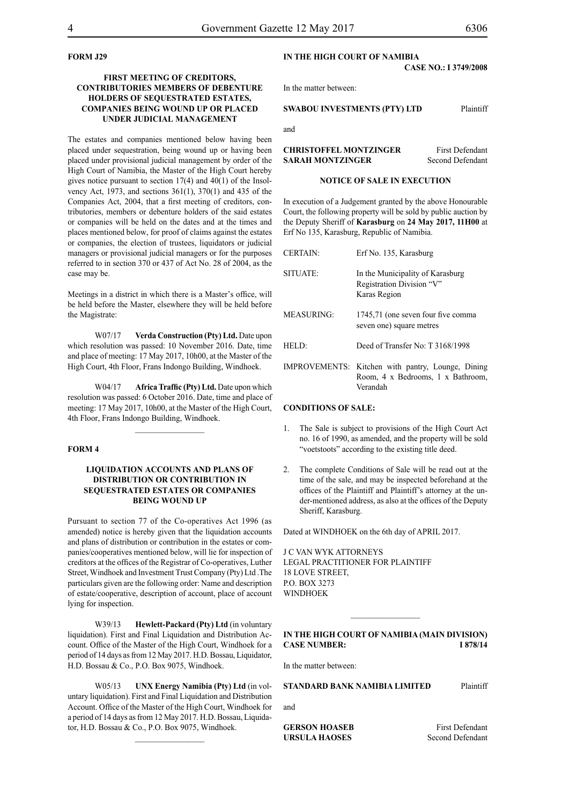# **FORM J29**

## **FIRST MEETING OF CREDITORS, CONTRIBUTORIES MEMBERS OF DEBENTURE HOLDERS OF SEQUESTRATED ESTATES, COMPANIES BEING WOUND UP OR PLACED UNDER JUDICIAL MANAGEMENT**

The estates and companies mentioned below having been placed under sequestration, being wound up or having been placed under provisional judicial management by order of the High Court of Namibia, the Master of the High Court hereby gives notice pursuant to section 17(4) and 40(1) of the Insolvency Act, 1973, and sections 361(1), 370(1) and 435 of the Companies Act, 2004, that a first meeting of creditors, contributories, members or debenture holders of the said estates or companies will be held on the dates and at the times and places mentioned below, for proof of claims against the estates or companies, the election of trustees, liquidators or judicial managers or provisional judicial managers or for the purposes referred to in section 370 or 437 of Act No. 28 of 2004, as the case may be.

Meetings in a district in which there is a Master's office, will be held before the Master, elsewhere they will be held before the Magistrate:

W07/17 **Verda Construction (Pty) Ltd.** Date upon which resolution was passed: 10 November 2016. Date, time and place of meeting: 17 May 2017, 10h00, at the Master of the High Court, 4th Floor, Frans Indongo Building, Windhoek.

W04/17 **Africa Traffic (Pty) Ltd.** Date upon which resolution was passed: 6 October 2016. Date, time and place of meeting: 17 May 2017, 10h00, at the Master of the High Court, 4th Floor, Frans Indongo Building, Windhoek.

 $\frac{1}{2}$ 

# **FORM 4**

# **LIQUIDATION ACCOUNTS AND PLANS OF DISTRIBUTION OR CONTRIBUTION IN SEQUESTRATED ESTATES OR COMPANIES BEING WOUND UP**

Pursuant to section 77 of the Co-operatives Act 1996 (as amended) notice is hereby given that the liquidation accounts and plans of distribution or contribution in the estates or companies/cooperatives mentioned below, will lie for inspection of creditors at the offices of the Registrar of Co-operatives, Luther Street, Windhoek and Investment Trust Company (Pty) Ltd .The particulars given are the following order: Name and description of estate/cooperative, description of account, place of account lying for inspection.

W39/13 **Hewlett-Packard (Pty) Ltd** (in voluntary liquidation). First and Final Liquidation and Distribution Account. Office of the Master of the High Court, Windhoek for a period of 14 days as from 12 May 2017. H.D. Bossau, Liquidator, H.D. Bossau & Co., P.O. Box 9075, Windhoek.

W05/13 **UNX Energy Namibia (Pty) Ltd** (in voluntary liquidation). First and Final Liquidation and Distribution Account. Office of the Master of the High Court, Windhoek for a period of 14 days as from 12 May 2017. H.D. Bossau, Liquidator, H.D. Bossau & Co., P.O. Box 9075, Windhoek.

# **IN THE HIGH COURT OF NAMIBIA**

### **CASE NO.: I 3749/2008**

In the matter between:

#### **SWABOU INVESTMENTS (PTY) LTD** Plaintiff

and

**CHRISTOFFEL MONTZINGER** First Defendant **SARAH MONTZINGER** Second Defendant

#### **NOTICE OF SALE IN EXECUTION**

In execution of a Judgement granted by the above Honourable Court, the following property will be sold by public auction by the Deputy Sheriff of **Karasburg** on **24 May 2017, 11H00** at Erf No 135, Karasburg, Republic of Namibia.

| <b>CERTAIN:</b> | Erf No. 135, Karasburg                                                                             |
|-----------------|----------------------------------------------------------------------------------------------------|
| SITUATE:        | In the Municipality of Karasburg<br>Registration Division "V"<br>Karas Region                      |
| MEASURING:      | 1745,71 (one seven four five comma<br>seven one) square metres                                     |
| HELD:           | Deed of Transfer No: T 3168/1998                                                                   |
|                 | IMPROVEMENTS: Kitchen with pantry, Lounge, Dining<br>Room, 4 x Bedrooms, 1 x Bathroom,<br>Verandah |

#### **CONDITIONS OF SALE:**

- 1. The Sale is subject to provisions of the High Court Act no. 16 of 1990, as amended, and the property will be sold "voetstoots" according to the existing title deed.
- 2. The complete Conditions of Sale will be read out at the time of the sale, and may be inspected beforehand at the offices of the Plaintiff and Plaintiff's attorney at the under-mentioned address, as also at the offices of the Deputy Sheriff, Karasburg.

Dated at WINDHOEK on the 6th day of APRIL 2017.

J C VAN WYK ATTORNEYS Legal Practitioner for Plaintiff 18 LOVE STREET,  $PO$  BOX 3273 **WINDHOEK** 

# **IN THE HIGH COURT OF NAMIBIA (Main Division) Case Number: I 878/14**

In the matter between:

# **STANDARD BANK NAMIBIA LIMITED** Plaintiff

and

**GERSON HOASEB** First Defendant **URSULA HAOSES** Second Defendant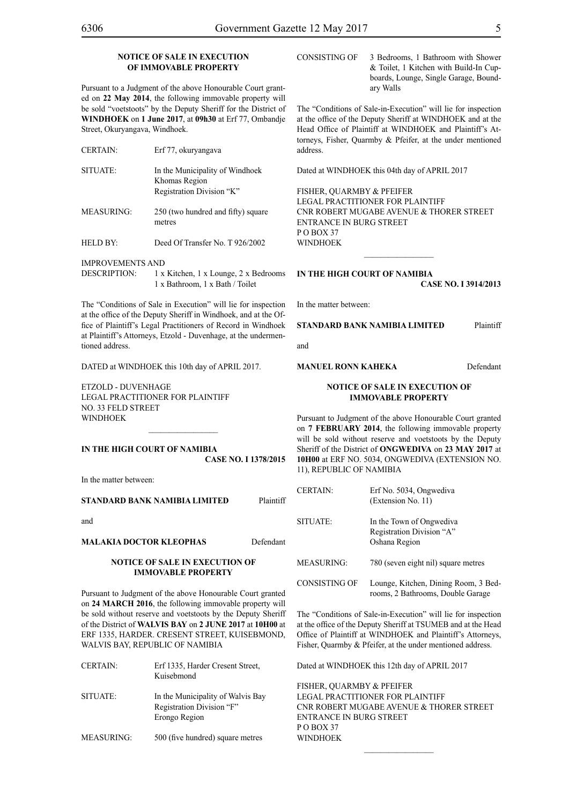# **NOTICE OF SALE IN EXECUTION OF IMMOVABLE PROPERTY**

Pursuant to a Judgment of the above Honourable Court granted on **22 May 2014**, the following immovable property will be sold "voetstoots" by the Deputy Sheriff for the District of **WINDHOEK** on **1 June 2017**, at **09h30** at Erf 77, Ombandje Street, Okuryangava, Windhoek.

- CERTAIN: Erf 77, okuryangava SITUATE: In the Municipality of Windhoek Khomas Region Registration Division "K" MEASURING: 250 (two hundred and fifty) square metres address.
- HELD BY: Deed Of Transfer No. T 926/2002

IMPROVEMENTS AND

DESCRIPTION: 1 x Kitchen, 1 x Lounge, 2 x Bedrooms 1 x Bathroom, 1 x Bath / Toilet

The "Conditions of Sale in Execution" will lie for inspection at the office of the Deputy Sheriff in Windhoek, and at the Office of Plaintiff's Legal Practitioners of Record in Windhoek at Plaintiff's Attorneys, Etzold - Duvenhage, at the undermentioned address.

DATED at WINDHOEK this 10th day of APRIL 2017.

ETZOLD - DUVENHAGE LEGAL PRACTITIONER FOR Plaintiff NO. 33 FELD STREET WINDHOEK

# **IN THE HIGH COURT OF NAMIBIA CASE No. I 1378/2015**

 $\frac{1}{2}$ 

In the matter between:

#### **STANDARD BANK NAMIBIA LIMITED** Plaintiff

and

#### **MALAKIA DOCTOR KLEOPHAS** Defendant

#### **NOTICE OF SALE IN EXECUTION OF IMMOVABLE PROPERTY**

Pursuant to Judgment of the above Honourable Court granted on **24 MARCH 2016**, the following immovable property will be sold without reserve and voetstoots by the Deputy Sheriff of the District of **WALVIS BAY** on **2 JUNE 2017** at **10H00** at ERF 1335, HARDER. CRESENT STREET, KUISEBMOND, WALVIS BAY, REPUBLIC OF NAMIBIA

| <b>CERTAIN:</b>   | Erf 1335, Harder Cresent Street,<br>Kuisebmond | Dε  |
|-------------------|------------------------------------------------|-----|
|                   |                                                | FI. |
| SITUATE:          | In the Municipality of Walvis Bay              | LF  |
|                   | Registration Division "F"                      | Сľ  |
|                   | Erongo Region                                  | ЕN  |
|                   |                                                | P ( |
| <b>MEASURING:</b> | 500 (five hundred) square metres               | W   |

CONSISTING OF 3 Bedrooms, 1 Bathroom with Shower & Toilet, 1 Kitchen with Build-In Cupboards, Lounge, Single Garage, Boundary Walls

The "Conditions of Sale-in-Execution" will lie for inspection at the office of the Deputy Sheriff at WINDHOEK and at the Head Office of Plaintiff at WINDHOEK and Plaintiff's Attorneys, Fisher, Quarmby & Pfeifer, at the under mentioned

Dated at WINDHOEK this 04th day of APRIL 2017

FISHER, QUARMBY & PFEIFER LEGAL PRACTITIONER FOR Plaintiff Cnr Robert Mugabe Avenue & Thorer Street Entrance in Burg Street PO BOX 37 **WINDHOEK** 

#### **IN THE HIGH COURT OF NAMIBIA**

**CASE No. I 3914/2013**

In the matter between:

# **STANDARD BANK NAMIBIA LIMITED** Plaintiff

and

#### **MANUEL RONN KAHEKA** Defendant

#### **NOTICE OF SALE IN EXECUTION OF IMMOVABLE PROPERTY**

Pursuant to Judgment of the above Honourable Court granted on **7 FEBRUARY 2014**, the following immovable property will be sold without reserve and voetstoots by the Deputy Sheriff of the District of **ONGWEDIVA** on **23 MAY 2017** at **10H00** at ERF NO. 5034, ONGWEDIVA (EXTENSION NO. 11), REPUBLIC OF NAMIBIA

| <b>CERTAIN:</b> | Erf No. 5034, Ongwediya<br>(Extension No. 11)                             |
|-----------------|---------------------------------------------------------------------------|
| SITUATE:        | In the Town of Ongwediva<br>Registration Division "A"<br>Oshana Region    |
| MEASURING:      | 780 (seven eight nil) square metres                                       |
| CONSISTING OF   | Lounge, Kitchen, Dining Room, 3 Bed-<br>rooms, 2 Bathrooms, Double Garage |

The "Conditions of Sale-in-Execution" will lie for inspection at the office of the Deputy Sheriff at TSUMEB and at the Head Office of Plaintiff at WINDHOEK and Plaintiff's Attorneys, Fisher, Quarmby & Pfeifer, at the under mentioned address.

ated at WINDHOEK this 12th day of APRIL 2017

SHER, QUARMBY & PFEIFER *EGAL PRACTITIONER FOR PLAINTIFF* NR ROBERT MUGABE AVENUE & THORER STREET **NTRANCE IN BURG STREET**  $\Omega$  ROX 37 WINDHOEK

 $\frac{1}{2}$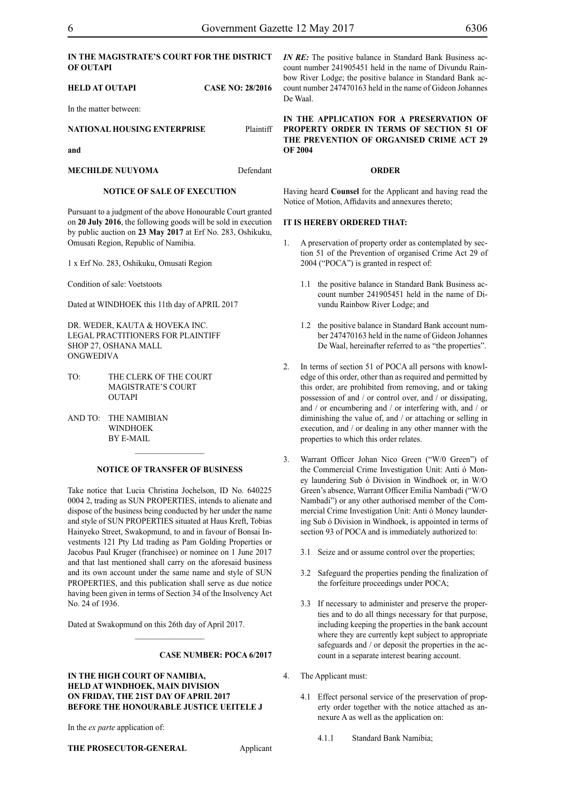# **of outapi**

# **HELD AT OUTAPI CASE NO: 28/2016**

In the matter between:

**NATIONAL HOUSING ENTERPRISE** Plaintiff

**and**

**MECHILDE NUUYOMA** Defendant

# **NOTICE OF SALE OF EXECUTION**

Pursuant to a judgment of the above Honourable Court granted on **20 July 2016**, the following goods will be sold in execution by public auction on **23 May 2017** at Erf No. 283, Oshikuku, Omusati Region, Republic of Namibia.

1 x Erf No. 283, Oshikuku, Omusati Region

Condition of sale: Voetstoots

Dated at WINDHOEK this 11th day of APRIL 2017

DR. WEDER, KAUTA & HOVEKA INC. LEGAL PRACTITIONERS FOR PLAINTIFF Shop 27, Oshana Mall **ONGWEDIVA** 

- TO: THE CLERK OF THE COURT MAGISTRATE'S COURT **OUTAPI**
- AND TO: THE NAMIBIAN WINDHOEK BY E-MAIL

# **NOTICE OF TRANSFER OF BUSINESS**

 $\frac{1}{2}$ 

Take notice that Lucia Christina Jochelson, ID No. 640225 0004 2, trading as SUN PROPERTIES, intends to alienate and dispose of the business being conducted by her under the name and style of SUN PROPERTIES situated at Haus Kreft, Tobias Hainyeko Street, Swakopmund, to and in favour of Bonsai Investments 121 Pty Ltd trading as Pam Golding Properties or Jacobus Paul Kruger (franchisee) or nominee on 1 June 2017 and that last mentioned shall carry on the aforesaid business and its own account under the same name and style of SUN PROPERTIES, and this publication shall serve as due notice having been given in terms of Section 34 of the Insolvency Act No. 24 of 1936.

Dated at Swakopmund on this 26th day of April 2017.

 $\frac{1}{2}$ 

# **Case number: POCA 6/2017**

# **IN THE HIGH COURT OF NAMIBIA, HELD AT WINDHOEK, MAIN DIVISION ON FRIDAY, THE 21ST DAY OF APRIL 2017 BEFORE THE HONOURABLE JUSTICE UEITELE J**

In the *ex parte* application of:

**THE PROSECUTOR-GENERAL** Applicant

**in the magistrate's court for the district** *IN RE:* The positive balance in Standard Bank Business account number 241905451 held in the name of Divundu Rainbow River Lodge; the positive balance in Standard Bank account number 247470163 held in the name of Gideon Johannes De Waal.

> **IN THE APPLICATION FOR A PRESERVATION OF PROPERTY ORDER IN TERMS OF SECTION 51 OF THE PREVENTION OF ORGANISED CRIME ACT 29 OF 2004**

#### **ORDER**

Having heard **Counsel** for the Applicant and having read the Notice of Motion, Affidavits and annexures thereto;

# **IT IS HEREBY ORDERED THAT:**

- 1. A preservation of property order as contemplated by section 51 of the Prevention of organised Crime Act 29 of 2004 ("POCA") is granted in respect of:
	- 1.1 the positive balance in Standard Bank Business account number 241905451 held in the name of Divundu Rainbow River Lodge; and
	- 1.2 the positive balance in Standard Bank account number 247470163 held in the name of Gideon Johannes De Waal, hereinafter referred to as "the properties".
- 2. In terms of section 51 of POCA all persons with knowledge of this order, other than as required and permitted by this order, are prohibited from removing, and or taking possession of and / or control over, and / or dissipating, and / or encumbering and / or interfering with, and / or diminishing the value of, and / or attaching or selling in execution, and / or dealing in any other manner with the properties to which this order relates.
- 3. Warrant Officer Johan Nico Green ("W/0 Green") of the Commercial Crime Investigation Unit: Anti ó Money laundering Sub ó Division in Windhoek or, in W/O Green's absence, Warrant Officer Emilia Nambadi ("W/O Nambadi") or any other authorised member of the Commercial Crime Investigation Unit: Anti ó Money laundering Sub ó Division in Windhoek, is appointed in terms of section 93 of POCA and is immediately authorized to:
	- 3.1 Seize and or assume control over the properties;
	- 3.2 Safeguard the properties pending the finalization of the forfeiture proceedings under POCA;
	- 3.3 If necessary to administer and preserve the properties and to do all things necessary for that purpose, including keeping the properties in the bank account where they are currently kept subject to appropriate safeguards and / or deposit the properties in the account in a separate interest bearing account.
- 4. The Applicant must:
	- 4.1 Effect personal service of the preservation of property order together with the notice attached as annexure A as well as the application on:

4.1.1 Standard Bank Namibia;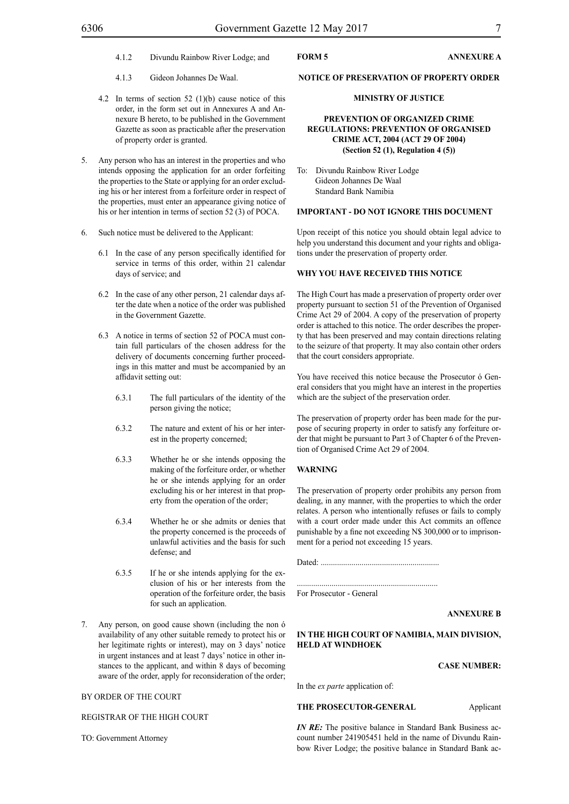- 4.1.2 Divundu Rainbow River Lodge; and
- 4.1.3 Gideon Johannes De Waal.
- 4.2 In terms of section 52 (1)(b) cause notice of this order, in the form set out in Annexures A and Annexure B hereto, to be published in the Government Gazette as soon as practicable after the preservation of property order is granted.
- 5. Any person who has an interest in the properties and who intends opposing the application for an order forfeiting the properties to the State or applying for an order excluding his or her interest from a forfeiture order in respect of the properties, must enter an appearance giving notice of his or her intention in terms of section 52 (3) of POCA.
- 6. Such notice must be delivered to the Applicant:
	- 6.1 In the case of any person specifically identified for service in terms of this order, within 21 calendar days of service; and
	- 6.2 In the case of any other person, 21 calendar days after the date when a notice of the order was published in the Government Gazette.
	- 6.3 A notice in terms of section 52 of POCA must contain full particulars of the chosen address for the delivery of documents concerning further proceedings in this matter and must be accompanied by an affidavit setting out:
		- 6.3.1 The full particulars of the identity of the person giving the notice;
		- 6.3.2 The nature and extent of his or her interest in the property concerned;
		- 6.3.3 Whether he or she intends opposing the making of the forfeiture order, or whether he or she intends applying for an order excluding his or her interest in that property from the operation of the order;
		- 6.3.4 Whether he or she admits or denies that the property concerned is the proceeds of unlawful activities and the basis for such defense; and
		- 6.3.5 If he or she intends applying for the exclusion of his or her interests from the operation of the forfeiture order, the basis for such an application.
- 7. Any person, on good cause shown (including the non ó availability of any other suitable remedy to protect his or her legitimate rights or interest), may on 3 days' notice in urgent instances and at least 7 days' notice in other instances to the applicant, and within 8 days of becoming aware of the order, apply for reconsideration of the order;

#### BY ORDER OF THE COURT

REGISTRAR OF THE HIGH COURT

TO: Government Attorney

# **FORM 5 ANNEXURE A**

#### **NOTICE OF PRESERVATION OF PROPERTY ORDER**

# **MINISTRY OF JUSTICE**

# **PREVENTION OF ORGANIZED CRIME REGULATIONS: PREVENTION OF ORGANISED CRIME ACT, 2004 (ACT 29 OF 2004) (Section 52 (1), Regulation 4 (5))**

To: Divundu Rainbow River Lodge Gideon Johannes De Waal Standard Bank Namibia

#### **IMPORTANT - DO NOT IGNORE THIS DOCUMENT**

Upon receipt of this notice you should obtain legal advice to help you understand this document and your rights and obligations under the preservation of property order.

#### **WHY YOU HAVE RECEIVED THIS NOTICE**

The High Court has made a preservation of property order over property pursuant to section 51 of the Prevention of Organised Crime Act 29 of 2004. A copy of the preservation of property order is attached to this notice. The order describes the property that has been preserved and may contain directions relating to the seizure of that property. It may also contain other orders that the court considers appropriate.

You have received this notice because the Prosecutor ó General considers that you might have an interest in the properties which are the subject of the preservation order.

The preservation of property order has been made for the purpose of securing property in order to satisfy any forfeiture order that might be pursuant to Part 3 of Chapter 6 of the Prevention of Organised Crime Act 29 of 2004.

#### **WARNING**

The preservation of property order prohibits any person from dealing, in any manner, with the properties to which the order relates. A person who intentionally refuses or fails to comply with a court order made under this Act commits an offence punishable by a fine not exceeding N\$ 300,000 or to imprisonment for a period not exceeding 15 years.

Dated: ..........................................................

..................................................................... For Prosecutor - General

#### **ANNEXURE B**

# **IN THE HIGH COURT OF NAMIBIA, MAIN DIVISION, HELD AT WINDHOEK**

# **CASE NUMBER:**

In the *ex parte* application of:

# **THE PROSECUTOR-GENERAL Applicant**

*IN RE:* The positive balance in Standard Bank Business account number 241905451 held in the name of Divundu Rainbow River Lodge; the positive balance in Standard Bank ac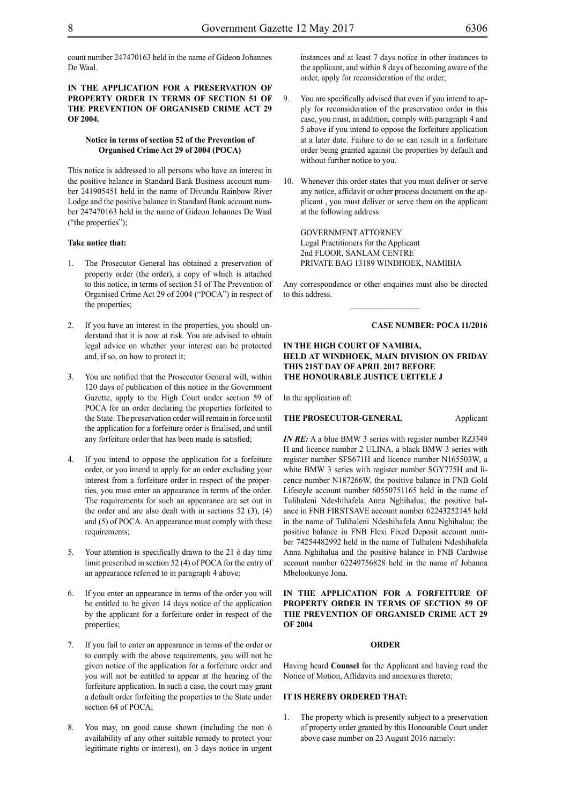count number 247470163 held in the name of Gideon Johannes De Waal.

# **IN THE APPLICATION FOR A PRESERVATION OF PROPERTY ORDER IN TERMS OF SECTION 51 OF THE PREVENTION OF ORGANISED CRIME ACT 29 OF 2004.**

# **Notice in terms of section 52 of the Prevention of Organised Crime Act 29 of 2004 (POCA)**

This notice is addressed to all persons who have an interest in the positive balance in Standard Bank Business account number 241905451 held in the name of Divundu Rainbow River Lodge and the positive balance in Standard Bank account number 247470163 held in the name of Gideon Johannes De Waal ("the properties");

#### **Take notice that:**

- 1. The Prosecutor General has obtained a preservation of property order (the order), a copy of which is attached to this notice, in terms of section 51 of The Prevention of Organised Crime Act 29 of 2004 ("POCA") in respect of the properties;
- 2. If you have an interest in the properties, you should understand that it is now at risk. You are advised to obtain legal advice on whether your interest can be protected and, if so, on how to protect it;
- 3. You are notified that the Prosecutor General will, within 120 days of publication of this notice in the Government Gazette, apply to the High Court under section 59 of POCA for an order declaring the properties forfeited to the State. The preservation order will remain in force until the application for a forfeiture order is finalised, and until any forfeiture order that has been made is satisfied;
- If you intend to oppose the application for a forfeiture order, or you intend to apply for an order excluding your interest from a forfeiture order in respect of the properties, you must enter an appearance in terms of the order. The requirements for such an appearance are set out in the order and are also dealt with in sections  $52$  (3), (4) and (5) of POCA. An appearance must comply with these requirements;
- 5. Your attention is specifically drawn to the 21 ó day time limit prescribed in section 52 (4) of POCA for the entry of an appearance referred to in paragraph 4 above;
- 6. If you enter an appearance in terms of the order you will be entitled to be given 14 days notice of the application by the applicant for a forfeiture order in respect of the properties;
- 7. If you fail to enter an appearance in terms of the order or to comply with the above requirements, you will not be given notice of the application for a forfeiture order and you will not be entitled to appear at the hearing of the forfeiture application. In such a case, the court may grant a default order forfeiting the properties to the State under section 64 of POCA;
- 8. You may, on good cause shown (including the non ó availability of any other suitable remedy to protect your legitimate rights or interest), on 3 days notice in urgent

instances and at least 7 days notice in other instances to the applicant, and within 8 days of becoming aware of the order, apply for reconsideration of the order;

- 9. You are specifically advised that even if you intend to apply for reconsideration of the preservation order in this case, you must, in addition, comply with paragraph 4 and 5 above if you intend to oppose the forfeiture application at a later date. Failure to do so can result in a forfeiture order being granted against the properties by default and without further notice to you.
- 10. Whenever this order states that you must deliver or serve any notice, affidavit or other process document on the applicant , you must deliver or serve them on the applicant at the following address:

GOVERNMENT ATTORNEY Legal Practitioners for the Applicant 2nd FLOOR, SANLAM CENTRE PRIVATE BAG 13189 WINDHOEK, NAMIBIA

Any correspondence or other enquiries must also be directed to this address.

# **Case number: POCA 11/2016**

# **IN THE HIGH COURT OF NAMIBIA, HELD AT WINDHOEK, MAIN DIVISION ON FRIDAY THIS 21ST DAY OF APRIL 2017 BEFORE THE HONOURABLE JUSTICE UEITELE J**

In the application of:

#### **THE PROSECUTOR-GENERAL** Applicant

*IN RE:* A a blue BMW 3 series with register number RZJ349 H and licence number 2 ULINA, a black BMW 3 series with register number SFS671H and licence number N165503W, a white BMW 3 series with register number SGY775H and licence number N187266W, the positive balance in FNB Gold Lifestyle account number 60550751165 held in the name of Tulihaleni Ndeshihafela Anna Nghihalua; the positive balance in FNB FIRSTSAVE account number 62243252145 held in the name of Tulihaleni Ndeshihafela Anna Nghihalua; the positive balance in FNB Flexi Fixed Deposit account number 74254482992 held in the name of Tulhaleni Ndeshihafela Anna Nghihalua and the positive balance in FNB Cardwise account number 62249756828 held in the name of Johanna Mbelookunye Jona.

# **IN THE APPLICATION FOR A FORFEITURE OF PROPERTY ORDER IN TERMS OF SECTION 59 OF THE PREVENTION OF ORGANISED CRIME ACT 29 OF 2004**

#### **ORDER**

Having heard **Counsel** for the Applicant and having read the Notice of Motion, Affidavits and annexures thereto;

#### **IT IS HEREBY ORDERED THAT:**

The property which is presently subject to a preservation of property order granted by this Honourable Court under above case number on 23 August 2016 namely: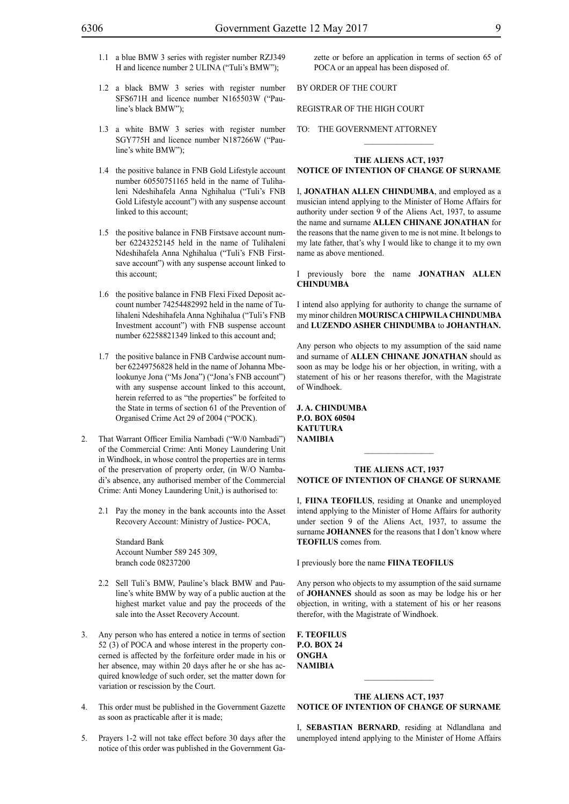- 1.1 a blue BMW 3 series with register number RZJ349 H and licence number 2 ULINA ("Tuli's BMW");
- 1.2 a black BMW 3 series with register number SFS671H and licence number N165503W ("Pauline's black BMW");
- 1.3 a white BMW 3 series with register number SGY775H and licence number N187266W ("Pauline's white BMW");
- 1.4 the positive balance in FNB Gold Lifestyle account number 60550751165 held in the name of Tulihaleni Ndeshihafela Anna Nghihalua ("Tuli's FNB Gold Lifestyle account") with any suspense account linked to this account;
- 1.5 the positive balance in FNB Firstsave account number 62243252145 held in the name of Tulihaleni Ndeshihafela Anna Nghihalua ("Tuli's FNB Firstsave account") with any suspense account linked to this account;
- 1.6 the positive balance in FNB Flexi Fixed Deposit account number 74254482992 held in the name of Tulihaleni Ndeshihafela Anna Nghihalua ("Tuli's FNB Investment account") with FNB suspense account number 62258821349 linked to this account and;
- 1.7 the positive balance in FNB Cardwise account number 62249756828 held in the name of Johanna Mbelookunye Jona ("Ms Jona") ("Jona's FNB account") with any suspense account linked to this account, herein referred to as "the properties" be forfeited to the State in terms of section 61 of the Prevention of Organised Crime Act 29 of 2004 ("POCK).
- 2. That Warrant Officer Emilia Nambadi ("W/0 Nambadi") of the Commercial Crime: Anti Money Laundering Unit in Windhoek, in whose control the properties are in terms of the preservation of property order, (in W/O Nambadi's absence, any authorised member of the Commercial Crime: Anti Money Laundering Unit,) is authorised to:
	- 2.1 Pay the money in the bank accounts into the Asset Recovery Account: Ministry of Justice- POCA,

Standard Bank Account Number 589 245 309, branch code 08237200

- 2.2 Sell Tuli's BMW, Pauline's black BMW and Pauline's white BMW by way of a public auction at the highest market value and pay the proceeds of the sale into the Asset Recovery Account.
- 3. Any person who has entered a notice in terms of section 52 (3) of POCA and whose interest in the property concerned is affected by the forfeiture order made in his or her absence, may within 20 days after he or she has acquired knowledge of such order, set the matter down for variation or rescission by the Court.
- 4. This order must be published in the Government Gazette as soon as practicable after it is made;
- 5. Prayers 1-2 will not take effect before 30 days after the notice of this order was published in the Government Ga-

zette or before an application in terms of section 65 of POCA or an appeal has been disposed of.

# BY ORDER OF THE COURT

# REGISTRAR OF THE HIGH COURT

TO: THE GOVERNMENT ATTORNEY

#### **THE ALIENS ACT, 1937 NOTICE OF INTENTION OF CHANGE OF SURNAME**

 $\frac{1}{2}$ 

I, **jonathan allen chindumba**, and employed as a musician intend applying to the Minister of Home Affairs for authority under section 9 of the Aliens Act, 1937, to assume the name and surname **allen chinane jonathan** for the reasons that the name given to me is not mine. It belongs to my late father, that's why I would like to change it to my own name as above mentioned.

I previously bore the name **jonathan allen chindumba**

I intend also applying for authority to change the surname of my minor children **MOURISCA CHIPWILA CHINDUMBA**  and **LUZENDO ASHER CHINDUMBA** to **JOHANTHAN.**

Any person who objects to my assumption of the said name and surname of **allen chinane jonathan** should as soon as may be lodge his or her objection, in writing, with a statement of his or her reasons therefor, with the Magistrate of Windhoek.

**j. a. chindumba P.o. box 60504 katutura namibia**

# **THE ALIENS ACT, 1937 NOTICE OF INTENTION OF CHANGE OF SURNAME**

 $\frac{1}{2}$ 

I, **Fiina Teofilus**, residing at Onanke and unemployed intend applying to the Minister of Home Affairs for authority under section 9 of the Aliens Act, 1937, to assume the surname **JOHANNES** for the reasons that I don't know where **TEOFILUS** comes from.

I previously bore the name **Fiina Teofilus**

Any person who objects to my assumption of the said surname of **johannes** should as soon as may be lodge his or her objection, in writing, with a statement of his or her reasons therefor, with the Magistrate of Windhoek.

**F. Teofilus P.o. box 24 ongha namibia**

# **THE ALIENS ACT, 1937 NOTICE OF INTENTION OF CHANGE OF SURNAME**

 $\frac{1}{2}$ 

I, **SEBASTIAN BERNARD**, residing at Ndlandlana and unemployed intend applying to the Minister of Home Affairs